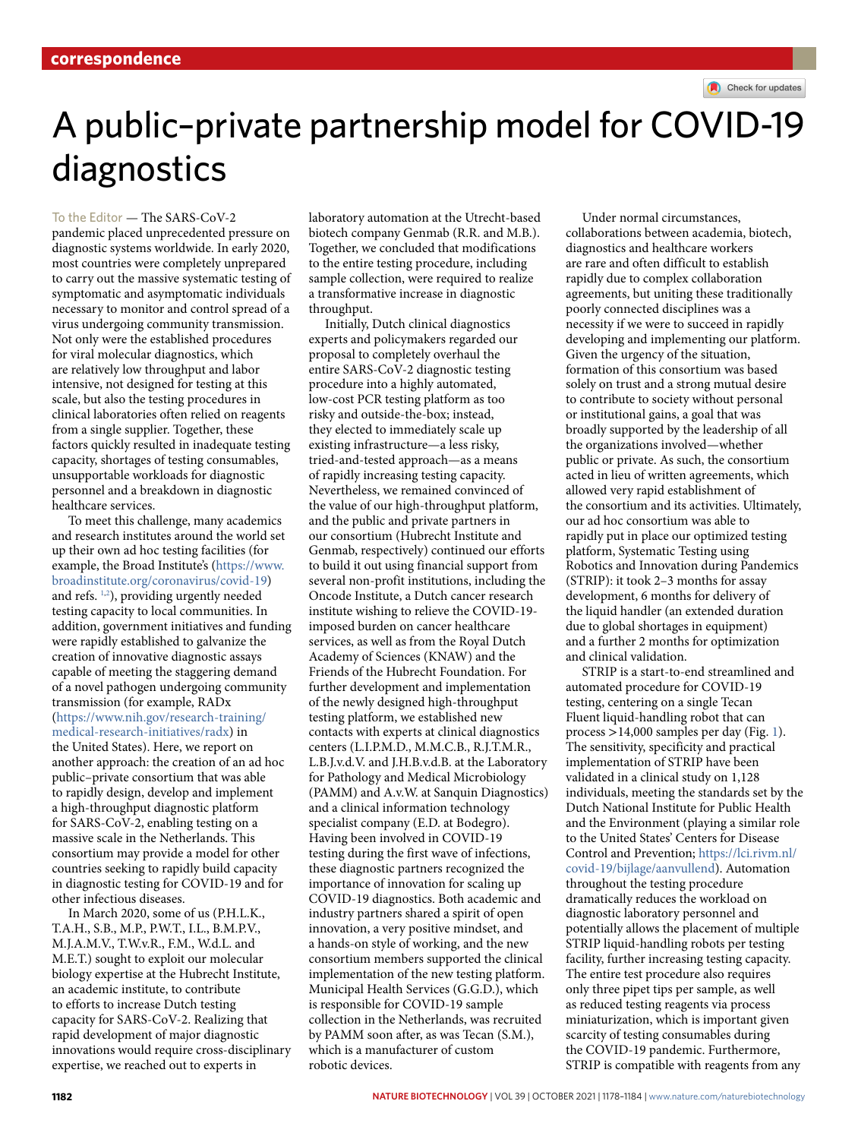# A public–private partnership model for COVID-19 diagnostics

## To the Editor — The SARS-CoV-2

pandemic placed unprecedented pressure on diagnostic systems worldwide. In early 2020, most countries were completely unprepared to carry out the massive systematic testing of symptomatic and asymptomatic individuals necessary to monitor and control spread of a virus undergoing community transmission. Not only were the established procedures for viral molecular diagnostics, which are relatively low throughput and labor intensive, not designed for testing at this scale, but also the testing procedures in clinical laboratories often relied on reagents from a single supplier. Together, these factors quickly resulted in inadequate testing capacity, shortages of testing consumables, unsupportable workloads for diagnostic personnel and a breakdown in diagnostic healthcare services.

To meet this challenge, many academics and research institutes around the world set up their own ad hoc testing facilities (for example, the Broad Institute's ([https://www.](https://www.broadinstitute.org/coronavirus/covid-19) [broadinstitute.org/coronavirus/covid-19](https://www.broadinstitute.org/coronavirus/covid-19)) and refs. 1,2 ), providing urgently needed testing capacity to local communities. In addition, government initiatives and funding were rapidly established to galvanize the creation of innovative diagnostic assays capable of meeting the staggering demand of a novel pathogen undergoing community transmission (for example, RADx [\(https://www.nih.gov/research-training/](https://www.nih.gov/research-training/medical-research-initiatives/radx) [medical-research-initiatives/radx](https://www.nih.gov/research-training/medical-research-initiatives/radx)) in the United States). Here, we report on another approach: the creation of an ad hoc public–private consortium that was able to rapidly design, develop and implement a high-throughput diagnostic platform for SARS-CoV-2, enabling testing on a massive scale in the Netherlands. This

consortium may provide a model for other countries seeking to rapidly build capacity in diagnostic testing for COVID-19 and for other infectious diseases. In March 2020, some of us (P.H.L.K., T.A.H., S.B., M.P., P.W.T., I.L., B.M.P.V., M.J.A.M.V., T.W.v.R., F.M., W.d.L. and

M.E.T.) sought to exploit our molecular biology expertise at the Hubrecht Institute, an academic institute, to contribute to efforts to increase Dutch testing capacity for SARS-CoV-2. Realizing that rapid development of major diagnostic innovations would require cross-disciplinary expertise, we reached out to experts in

laboratory automation at the Utrecht-based biotech company Genmab (R.R. and M.B.). Together, we concluded that modifications to the entire testing procedure, including sample collection, were required to realize a transformative increase in diagnostic throughput.

Initially, Dutch clinical diagnostics experts and policymakers regarded our proposal to completely overhaul the entire SARS-CoV-2 diagnostic testing procedure into a highly automated, low-cost PCR testing platform as too risky and outside-the-box; instead, they elected to immediately scale up existing infrastructure—a less risky, tried-and-tested approach—as a means of rapidly increasing testing capacity. Nevertheless, we remained convinced of the value of our high-throughput platform, and the public and private partners in our consortium (Hubrecht Institute and Genmab, respectively) continued our efforts to build it out using financial support from several non-profit institutions, including the Oncode Institute, a Dutch cancer research institute wishing to relieve the COVID-19 imposed burden on cancer healthcare services, as well as from the Royal Dutch Academy of Sciences (KNAW) and the Friends of the Hubrecht Foundation. For further development and implementation of the newly designed high-throughput testing platform, we established new contacts with experts at clinical diagnostics centers (L.I.P.M.D., M.M.C.B., R.J.T.M.R., L.B.J.v.d.V. and J.H.B.v.d.B. at the Laboratory for Pathology and Medical Microbiology (PAMM) and A.v.W. at Sanquin Diagnostics) and a clinical information technology specialist company (E.D. at Bodegro). Having been involved in COVID-19 testing during the first wave of infections, these diagnostic partners recognized the importance of innovation for scaling up COVID-19 diagnostics. Both academic and industry partners shared a spirit of open innovation, a very positive mindset, and a hands-on style of working, and the new consortium members supported the clinical implementation of the new testing platform. Municipal Health Services (G.G.D.), which is responsible for COVID-19 sample collection in the Netherlands, was recruited by PAMM soon after, as was Tecan (S.M.), which is a manufacturer of custom robotic devices.

Under normal circumstances, collaborations between academia, biotech, diagnostics and healthcare workers are rare and often difficult to establish rapidly due to complex collaboration agreements, but uniting these traditionally poorly connected disciplines was a necessity if we were to succeed in rapidly developing and implementing our platform. Given the urgency of the situation, formation of this consortium was based solely on trust and a strong mutual desire to contribute to society without personal or institutional gains, a goal that was broadly supported by the leadership of all the organizations involved—whether public or private. As such, the consortium acted in lieu of written agreements, which allowed very rapid establishment of the consortium and its activities. Ultimately, our ad hoc consortium was able to rapidly put in place our optimized testing platform, Systematic Testing using Robotics and Innovation during Pandemics (STRIP): it took 2–3 months for assay development, 6 months for delivery of the liquid handler (an extended duration due to global shortages in equipment) and a further 2 months for optimization and clinical validation.

STRIP is a start-to-end streamlined and automated procedure for COVID-19 testing, centering on a single Tecan Fluent liquid-handling robot that can process >14,000 samples per day (Fig. 1). The sensitivity, specificity and practical implementation of STRIP have been validated in a clinical study on 1,128 individuals, meeting the standards set by the Dutch National Institute for Public Health and the Environment (playing a similar role to the United States' Centers for Disease Control and Prevention; [https://lci.rivm.nl/](https://lci.rivm.nl/covid-19/bijlage/aanvullend) [covid-19/bijlage/aanvullend](https://lci.rivm.nl/covid-19/bijlage/aanvullend)). Automation throughout the testing procedure dramatically reduces the workload on diagnostic laboratory personnel and potentially allows the placement of multiple STRIP liquid-handling robots per testing facility, further increasing testing capacity. The entire test procedure also requires only three pipet tips per sample, as well as reduced testing reagents via process miniaturization, which is important given scarcity of testing consumables during the COVID-19 pandemic. Furthermore, STRIP is compatible with reagents from any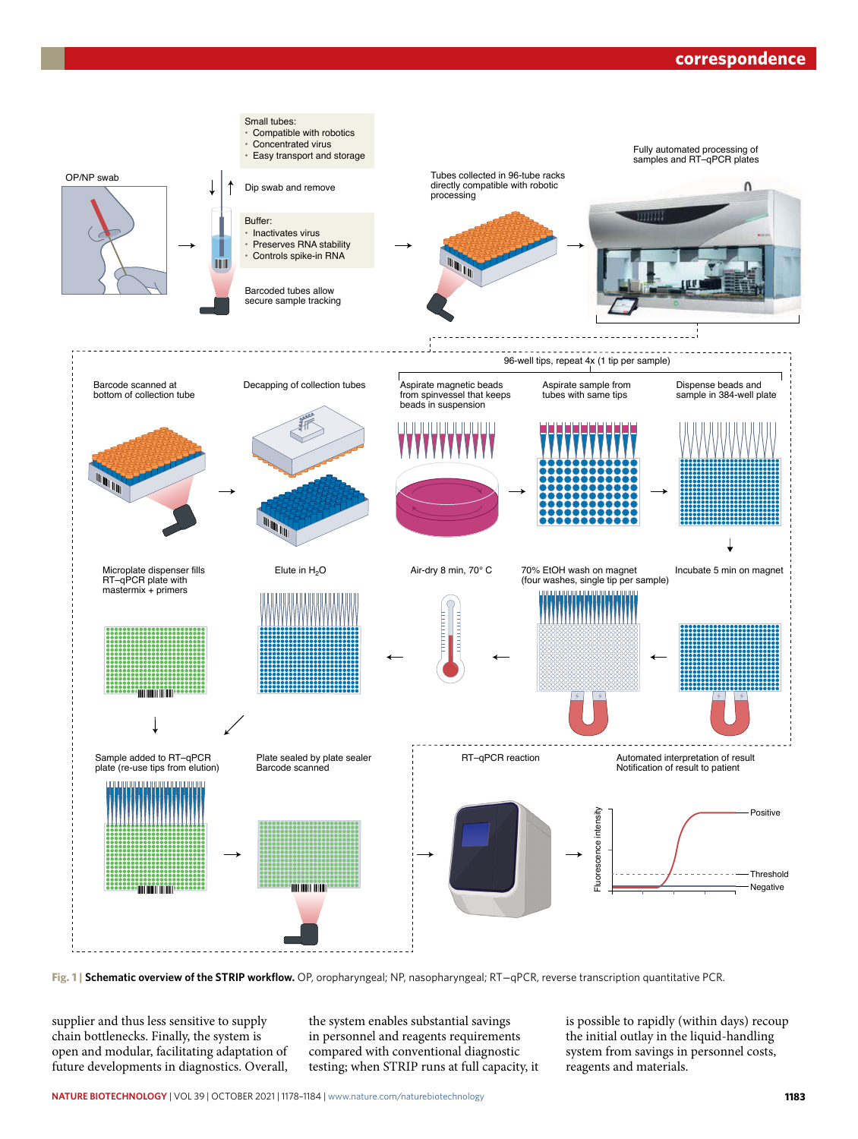## **correspondence**



**Fig. 1 | Schematic overview of the STRIP workflow.** OP, oropharyngeal; NP, nasopharyngeal; RT−qPCR, reverse transcription quantitative PCR.

supplier and thus less sensitive to supply chain bottlenecks. Finally, the system is open and modular, facilitating adaptation of future developments in diagnostics. Overall, the system enables substantial savings in personnel and reagents requirements compared with conventional diagnostic testing; when STRIP runs at full capacity, it is possible to rapidly (within days) recoup the initial outlay in the liquid-handling system from savings in personnel costs, reagents and materials.